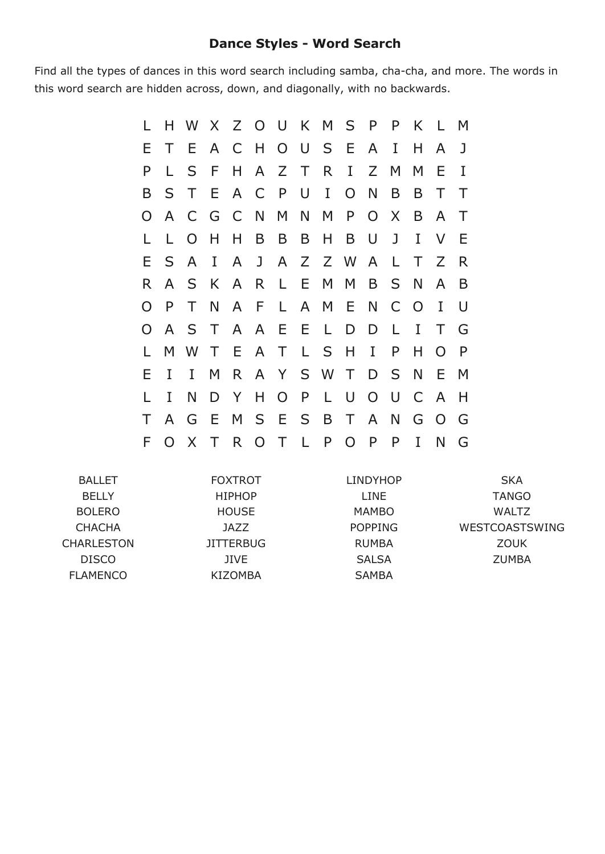## **Dance Styles Word Search**

Find all the types of dances in this word search including samba, cha-cha, and more. The words in this word search are hidden across, down, and diagonally, with no backwards.

|    | Н.           | W X Z O U K M S P |    |              |                |              |              |              |                |                | P            | K.          | $\mathbb{L}$   | M |
|----|--------------|-------------------|----|--------------|----------------|--------------|--------------|--------------|----------------|----------------|--------------|-------------|----------------|---|
| Е  | Τ            | E.                | A  |              | C H            |              |              | O U S        | E              | A              | I            | Н           | A              | J |
| P  | L            | S                 | F. | H.           |                | A Z T        |              | R.           | $\bf{I}$       | Z              | M            | M           | Ε              | I |
| B  | S.           | $\top$            | E. | $\mathsf{A}$ | $\mathsf{C}$   | $\mathsf{P}$ | U            | $\mathbf{I}$ | $\overline{O}$ | N              | B            | B           |                |   |
| O  | $\mathsf{A}$ | C                 | G  | $\mathsf{C}$ | N M            |              | N            | M            | P              | $\overline{O}$ | X            | B           | A              |   |
|    | L            | O                 | H  | H            | B              | B            | B            | H            | B              | U              | J            | I           | $\vee$         | Ε |
| Е. | S.           | A                 | L  | A            | J              |              |              | A Z Z W      |                | A              | L            | Τ           | Z              | R |
| R. | A            | S                 | K. | $\mathsf{A}$ | R              | L E          |              | M            | M              | B              | S            | $\mathbb N$ | A              | B |
|    | P            | Τ                 | N  | A            | F              | $\mathsf{L}$ |              | A M          | E              | N              | $\mathsf{C}$ | $\Omega$    | I              | U |
| O  | A            | S                 | T. | $\mathsf{A}$ |                | A E E        |              | $\mathsf{L}$ | D              | D              | L            | I           | Τ              | G |
|    | M            | <b>W</b>          | T  | E.           | A T            |              |              | L S          | H              | $\mathbf{I}$   | $\mathsf{P}$ | Η           | O              | P |
| Е  | I            | I                 | M  | R.           |                | A Y S W T    |              |              |                | D              | S            | N           | E              | M |
|    | I            | N                 | D  | Y            | H.             |              | $O$ $P$      | $\mathsf{L}$ | U              | $\overline{O}$ | U            | C           | $\overline{A}$ | Н |
| Τ  | A            | G                 | E  |              |                | M S E S B    |              |              | $\top$         | $\mathsf{A}$   | N            | G           | $\overline{O}$ | G |
| F  |              | X                 | Τ  | R.           | $\overline{O}$ | $\top$       | $\mathsf{L}$ | P            | $\Omega$       | $\mathsf{P}$   | P            | I           | N              | G |

| <b>BALLET</b>     | <b>FOXTROT</b>   | <b>LINDYHOP</b> | <b>SKA</b>            |
|-------------------|------------------|-----------------|-----------------------|
| <b>BELLY</b>      | <b>HIPHOP</b>    | <b>LINE</b>     | <b>TANGO</b>          |
| <b>BOLERO</b>     | <b>HOUSE</b>     | <b>MAMBO</b>    | <b>WALTZ</b>          |
| <b>CHACHA</b>     | <b>JAZZ</b>      | <b>POPPING</b>  | <b>WESTCOASTSWING</b> |
| <b>CHARLESTON</b> | <b>JITTERBUG</b> | <b>RUMBA</b>    | <b>ZOUK</b>           |
| <b>DISCO</b>      | JIVE.            | <b>SALSA</b>    | <b>ZUMBA</b>          |
| <b>FLAMENCO</b>   | <b>KIZOMBA</b>   | <b>SAMBA</b>    |                       |